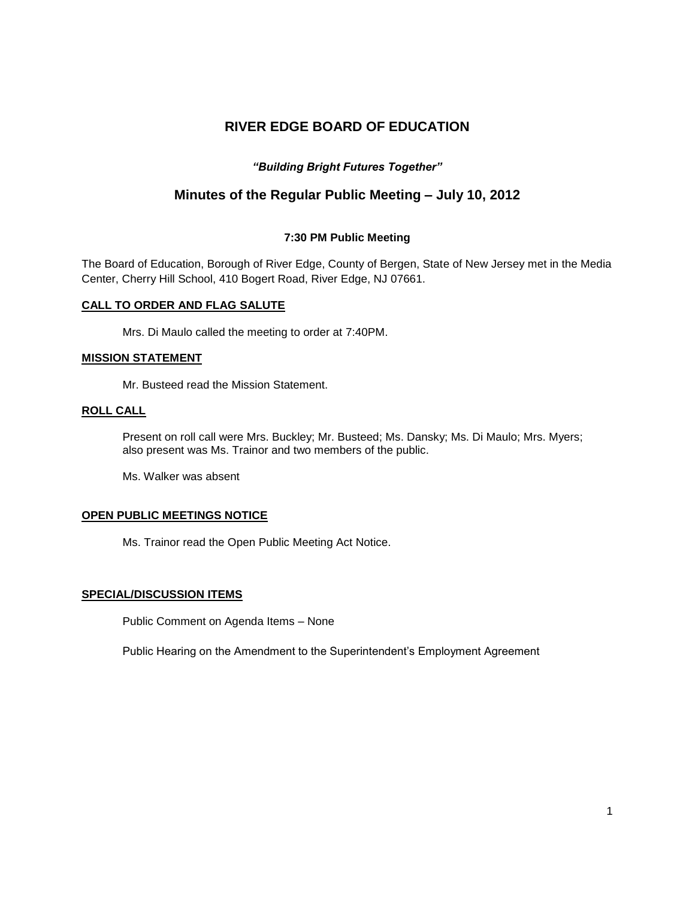# **RIVER EDGE BOARD OF EDUCATION**

# *"Building Bright Futures Together"*

# **Minutes of the Regular Public Meeting – July 10, 2012**

# **7:30 PM Public Meeting**

The Board of Education, Borough of River Edge, County of Bergen, State of New Jersey met in the Media Center, Cherry Hill School, 410 Bogert Road, River Edge, NJ 07661.

### **CALL TO ORDER AND FLAG SALUTE**

Mrs. Di Maulo called the meeting to order at 7:40PM.

### **MISSION STATEMENT**

Mr. Busteed read the Mission Statement.

# **ROLL CALL**

Present on roll call were Mrs. Buckley; Mr. Busteed; Ms. Dansky; Ms. Di Maulo; Mrs. Myers; also present was Ms. Trainor and two members of the public.

Ms. Walker was absent

### **OPEN PUBLIC MEETINGS NOTICE**

Ms. Trainor read the Open Public Meeting Act Notice.

## **SPECIAL/DISCUSSION ITEMS**

Public Comment on Agenda Items – None

Public Hearing on the Amendment to the Superintendent's Employment Agreement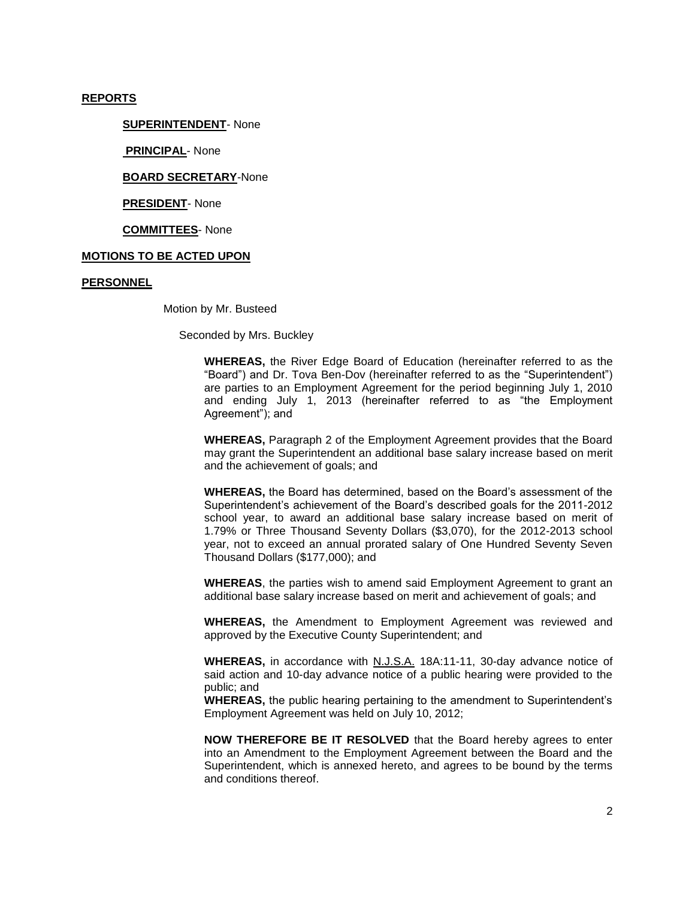#### **REPORTS**

#### **SUPERINTENDENT**- None

**PRINCIPAL**- None

**BOARD SECRETARY**-None

**PRESIDENT**- None

**COMMITTEES**- None

### **MOTIONS TO BE ACTED UPON**

#### **PERSONNEL**

Motion by Mr. Busteed

Seconded by Mrs. Buckley

**WHEREAS,** the River Edge Board of Education (hereinafter referred to as the "Board") and Dr. Tova Ben-Dov (hereinafter referred to as the "Superintendent") are parties to an Employment Agreement for the period beginning July 1, 2010 and ending July 1, 2013 (hereinafter referred to as "the Employment Agreement"); and

**WHEREAS,** Paragraph 2 of the Employment Agreement provides that the Board may grant the Superintendent an additional base salary increase based on merit and the achievement of goals; and

**WHEREAS,** the Board has determined, based on the Board's assessment of the Superintendent's achievement of the Board's described goals for the 2011-2012 school year, to award an additional base salary increase based on merit of 1.79% or Three Thousand Seventy Dollars (\$3,070), for the 2012-2013 school year, not to exceed an annual prorated salary of One Hundred Seventy Seven Thousand Dollars (\$177,000); and

**WHEREAS**, the parties wish to amend said Employment Agreement to grant an additional base salary increase based on merit and achievement of goals; and

**WHEREAS,** the Amendment to Employment Agreement was reviewed and approved by the Executive County Superintendent; and

**WHEREAS,** in accordance with N.J.S.A. 18A:11-11, 30-day advance notice of said action and 10-day advance notice of a public hearing were provided to the public; and

**WHEREAS,** the public hearing pertaining to the amendment to Superintendent's Employment Agreement was held on July 10, 2012;

**NOW THEREFORE BE IT RESOLVED** that the Board hereby agrees to enter into an Amendment to the Employment Agreement between the Board and the Superintendent, which is annexed hereto, and agrees to be bound by the terms and conditions thereof.